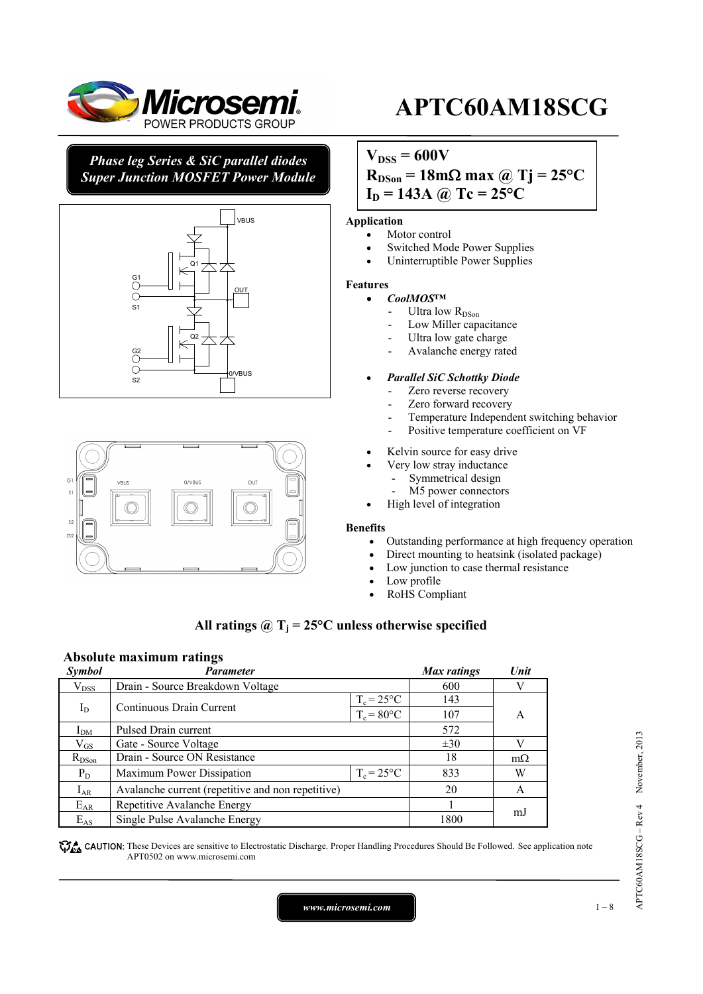

# *Phase leg Series & SiC parallel diodes Super Junction MOSFET Power Module*





# **APTC60AM18SCG**

# $V_{DSS} = 600V$

 $R_{DSon} = 18 \text{m}\Omega \text{ max}$  @ Tj = 25<sup>o</sup>C  $I_D = 143A$  @ Tc = 25<sup>o</sup>C

### **Application**

- Motor control
- Switched Mode Power Supplies
- Uninterruptible Power Supplies

### **Features**

### • *CoolMOS™*

- Ultra low R<sub>DSon</sub>
- Low Miller capacitance
- Ultra low gate charge
- Avalanche energy rated

### • *Parallel SiC Schottky Diode*

- Zero reverse recovery
- Zero forward recovery
- Temperature Independent switching behavior
- Positive temperature coefficient on VF
- Kelvin source for easy drive
- Very low stray inductance
	- Symmetrical design
	- M5 power connectors
- High level of integration

### **Benefits**

- Outstanding performance at high frequency operation
- Direct mounting to heatsink (isolated package)
- Low junction to case thermal resistance
- Low profile
- RoHS Compliant

# All ratings  $\hat{\omega}$  T<sub>i</sub> = 25°C unless otherwise specified

# **Absolute maximum ratings**

| Symbol        | Parameter                                         |               | Max ratings | Unit      |
|---------------|---------------------------------------------------|---------------|-------------|-----------|
| $\rm V_{DSS}$ | Drain - Source Breakdown Voltage                  |               | 600         |           |
|               |                                                   | $T_c = 25$ °C | 143         |           |
|               | $I_D$<br>Continuous Drain Current                 | $T_c = 80$ °C | 107         | A         |
| $I_{DM}$      | Pulsed Drain current                              | 572           |             |           |
| $\rm V_{GS}$  | Gate - Source Voltage                             |               | $\pm 30$    | V         |
| $R_{DSon}$    | Drain - Source ON Resistance                      |               | 18          | $m\Omega$ |
| $P_D$         | $T_c = 25^{\circ}C$<br>Maximum Power Dissipation  |               | 833         | W         |
| $I_{AR}$      | Avalanche current (repetitive and non repetitive) |               | 20          | A         |
| $E_{AR}$      | Repetitive Avalanche Energy                       |               |             | m.J       |
| $E_{AS}$      | Single Pulse Avalanche Energy                     |               | 1800        |           |

**These** CAUTION: These Devices are sensitive to Electrostatic Discharge. Proper Handling Procedures Should Be Followed. See application note APT0502 on www.microsemi.com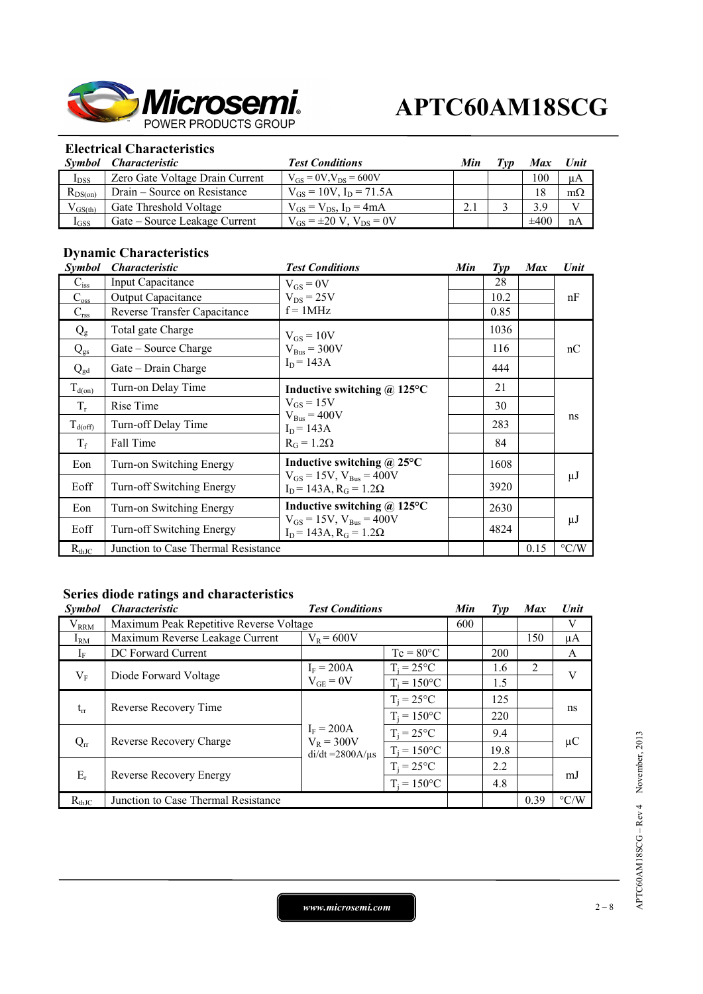

# **Electrical Characteristics**

|              | Symbol Characteristic           | <b>Test Conditions</b>              | Min | Tvn | <b>Max</b> | Unit      |
|--------------|---------------------------------|-------------------------------------|-----|-----|------------|-----------|
| $I_{DSS}$    | Zero Gate Voltage Drain Current | $V_{GS} = 0V$ , $V_{DS} = 600V$     |     |     | 100        | μA        |
| $R_{DS(on)}$ | Drain – Source on Resistance    | $V_{GS} = 10V$ , $I_D = 71.5A$      |     |     | 18         | $m\Omega$ |
| $V_{GS(th)}$ | Gate Threshold Voltage          | $V_{GS} = V_{DS}$ , $I_D = 4mA$     |     |     | 3.9        |           |
| $I_{GSS}$    | Gate – Source Leakage Current   | $V_{GS} = \pm 20 V$ , $V_{DS} = 0V$ |     |     | $\pm 400$  | nA        |

# **Dynamic Characteristics**

| <i><b>Symbol</b></i> | <i><b>Characteristic</b></i>        | <b>Test Conditions</b>                                                                                       | Min | $\mathcal{I}yp$ | <b>Max</b> | Unit               |
|----------------------|-------------------------------------|--------------------------------------------------------------------------------------------------------------|-----|-----------------|------------|--------------------|
| $C_{iss}$            | Input Capacitance                   | $V_{GS} = 0V$                                                                                                |     | 28              |            |                    |
| $C_{\rm oss}$        | <b>Output Capacitance</b>           | $V_{DS} = 25V$                                                                                               |     | 10.2            |            | nF                 |
| $C_{\rm rss}$        | Reverse Transfer Capacitance        | $f = 1MHz$                                                                                                   |     | 0.85            |            |                    |
| $Q_{g}$              | Total gate Charge                   | $V_{GS} = 10V$                                                                                               |     | 1036            |            | nC                 |
| $Q_{gs}$             | Gate – Source Charge                | $V_{Bus} = 300V$                                                                                             |     | 116             |            |                    |
| $Q_{gd}$             | Gate - Drain Charge                 | $I_D = 143A$                                                                                                 |     | 444             |            |                    |
| $T_{d(0n)}$          | Turn-on Delay Time                  | Inductive switching $\omega$ 125°C                                                                           |     | 21              |            |                    |
| $T_r$                | Rise Time                           | $V_{GS} = 15V$<br>$V_{Bus} = 400V$<br>$I_D = 143A$<br>$R_G = 1.2\Omega$                                      |     | 30              |            | ns                 |
| $T_{d(\text{off})}$  | Turn-off Delay Time                 |                                                                                                              |     | 283             |            |                    |
| $T_f$                | Fall Time                           |                                                                                                              |     | 84              |            |                    |
| Eon                  | Turn-on Switching Energy            | Inductive switching $\omega$ 25°C<br>$V_{GS} = 15V$ , $V_{Bus} = 400V$<br>$I_D$ = 143A, $R_G$ = 1.2 $\Omega$ |     | 1608            |            |                    |
| Eoff                 | Turn-off Switching Energy           |                                                                                                              |     | 3920            |            | μJ                 |
| Eon                  | Turn-on Switching Energy            | Inductive switching @ 125°C<br>$V_{GS} = 15V$ , $V_{Bus} = 400V$<br>$I_D$ = 143A, $R_G$ = 1.2 $\Omega$       |     | 2630            |            |                    |
| Eoff                 | Turn-off Switching Energy           |                                                                                                              |     | 4824            |            | $\mu$ J            |
| $R_{th,IC}$          | Junction to Case Thermal Resistance |                                                                                                              |     |                 | 0.15       | $\rm ^{\circ} C/W$ |

# **Series diode ratings and characteristics**

| <i>Symbol</i> | <b>Characteristic</b>                   | <b>Test Conditions</b>                                                           | Min                | $Typ$ | <b>Max</b> | Unit |                    |
|---------------|-----------------------------------------|----------------------------------------------------------------------------------|--------------------|-------|------------|------|--------------------|
| $\rm V_{RRM}$ | Maximum Peak Repetitive Reverse Voltage |                                                                                  |                    |       |            |      | V                  |
| $I_{\rm RM}$  | Maximum Reverse Leakage Current         | $V_R = 600V$                                                                     |                    |       |            | 150  | μA                 |
| $I_{\rm F}$   | DC Forward Current                      |                                                                                  | $Tc = 80^{\circ}C$ |       | 200        |      | A                  |
| $V_{F}$       |                                         | $I_F = 200A$<br>$V_{GE} = 0V$                                                    | $T_i = 25$ °C      |       | 1.6        | 2    | V                  |
|               | Diode Forward Voltage                   |                                                                                  | $T_i = 150$ °C     |       | 1.5        |      |                    |
|               |                                         |                                                                                  | $T_i = 25$ °C      |       | 125        |      |                    |
| $t_{rr}$      | Reverse Recovery Time                   |                                                                                  | $T_i = 150$ °C     |       | 220        |      | ns                 |
|               |                                         | $I_F = 200A$<br>$V_R = 300V$<br>Reverse Recovery Charge<br>$di/dt = 2800A/\mu s$ | $T_i = 25$ °C      |       | 9.4        |      |                    |
| $Q_{rr}$      |                                         |                                                                                  | $T_i = 150$ °C     |       | 19.8       |      | μC                 |
| $E_r$         | Reverse Recovery Energy                 |                                                                                  | $T_i = 25$ °C      |       | 2.2        |      | mJ                 |
|               |                                         |                                                                                  | $T_i = 150$ °C     |       | 4.8        |      |                    |
| $R_{thJC}$    | Junction to Case Thermal Resistance     |                                                                                  |                    |       |            | 0.39 | $\rm ^{\circ} C/W$ |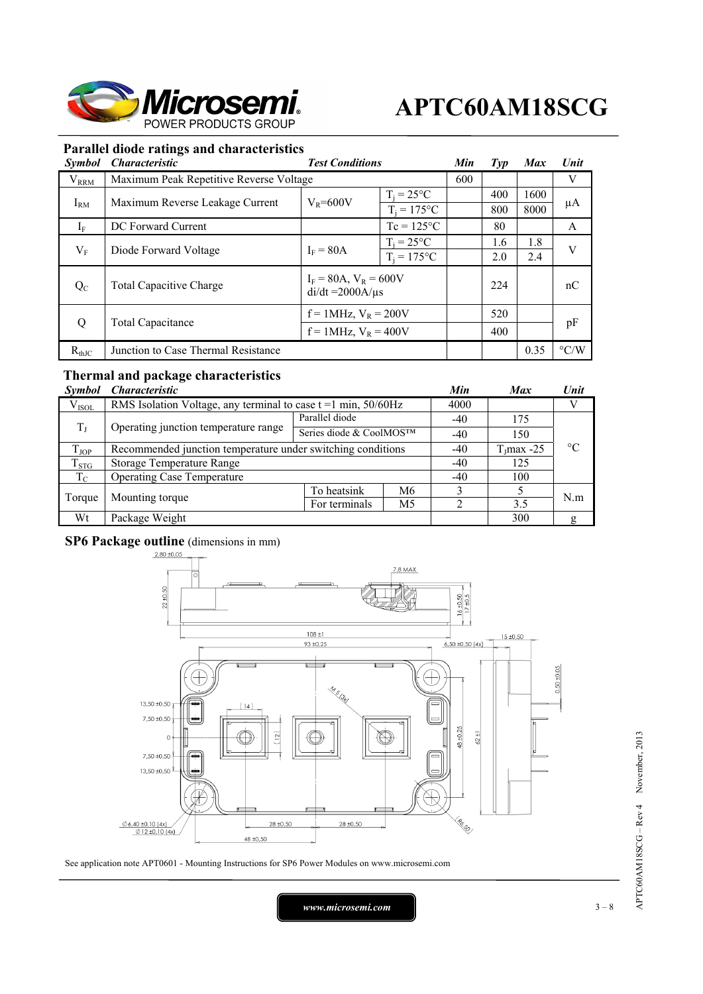

# **Parallel diode ratings and characteristics**

| <i>Symbol</i> | <b>Characteristic</b>                   | <b>Test Conditions</b>                                 | Min                             | $\mathcal{I}yp$ | <b>Max</b> | Unit |                    |
|---------------|-----------------------------------------|--------------------------------------------------------|---------------------------------|-----------------|------------|------|--------------------|
| $V_{RRM}$     | Maximum Peak Repetitive Reverse Voltage |                                                        |                                 | 600             |            |      | V                  |
| $I_{RM}$      | Maximum Reverse Leakage Current         | $V_R = 600V$                                           | $T_i = 25^{\circ}C$             |                 | 400        | 1600 | μA                 |
| $I_F$         | DC Forward Current                      |                                                        | $T_i = 175$ °C<br>$Tc = 125$ °C |                 | 800<br>80  | 8000 | A                  |
|               |                                         |                                                        |                                 |                 |            |      |                    |
|               | Diode Forward Voltage                   | $I_F = 80A$                                            | $T_i = 25$ °C                   |                 | 1.6        | 1.8  | V                  |
| $V_{F}$       |                                         |                                                        | $T_i = 175$ °C                  |                 | 2.0        | 2.4  |                    |
| $Q_{C}$       | <b>Total Capacitive Charge</b>          | $I_F = 80A$ , $V_R = 600V$<br>$di/dt = 2000A/\mu s$    |                                 |                 | 224        |      | nC                 |
|               |                                         | $f = 1$ MHz, $V_R = 200V$<br>$f = 1$ MHz, $V_R = 400V$ |                                 | 520             |            |      |                    |
| Q             | Total Capacitance                       |                                                        |                                 |                 | 400        |      | pF                 |
| $R_{thJC}$    | Junction to Case Thermal Resistance     |                                                        |                                 |                 |            | 0.35 | $\rm ^{\circ}$ C/W |

# **Thermal and package characteristics**

| <b>Symbol</b> | <i><b>Characteristic</b></i>                                     |                         |                |                 | <b>Max</b> | Unit |  |
|---------------|------------------------------------------------------------------|-------------------------|----------------|-----------------|------------|------|--|
| $V_{ISOL}$    | RMS Isolation Voltage, any terminal to case $t = 1$ min, 50/60Hz |                         |                |                 |            |      |  |
| $T_{\rm J}$   |                                                                  | Parallel diode          |                | $-40$           | 175        |      |  |
|               | Operating junction temperature range                             | Series diode & CoolMOS™ |                | $-40$           | 150        |      |  |
| $T_{\rm JOP}$ | Recommended junction temperature under switching conditions      | $-40$                   | $T_1$ max -25  | $\rm ^{\circ}C$ |            |      |  |
| $T_{STG}$     | Storage Temperature Range                                        | $-40$                   | 125            |                 |            |      |  |
| $T_{\rm C}$   | <b>Operating Case Temperature</b>                                | $-40$                   | 100            |                 |            |      |  |
| Torque        | Mounting torque                                                  | To heatsink             | M6             |                 |            | N.m  |  |
|               |                                                                  | For terminals           | M <sub>5</sub> |                 | 3.5        |      |  |
| Wt            | Package Weight                                                   |                         |                |                 | 300        | g    |  |

# **SP6 Package outline** (dimensions in mm)



See application note APT0601 - Mounting Instructions for SP6 Power Modules on www.microsemi.com

*www.microsemi.com* 1 3 – 8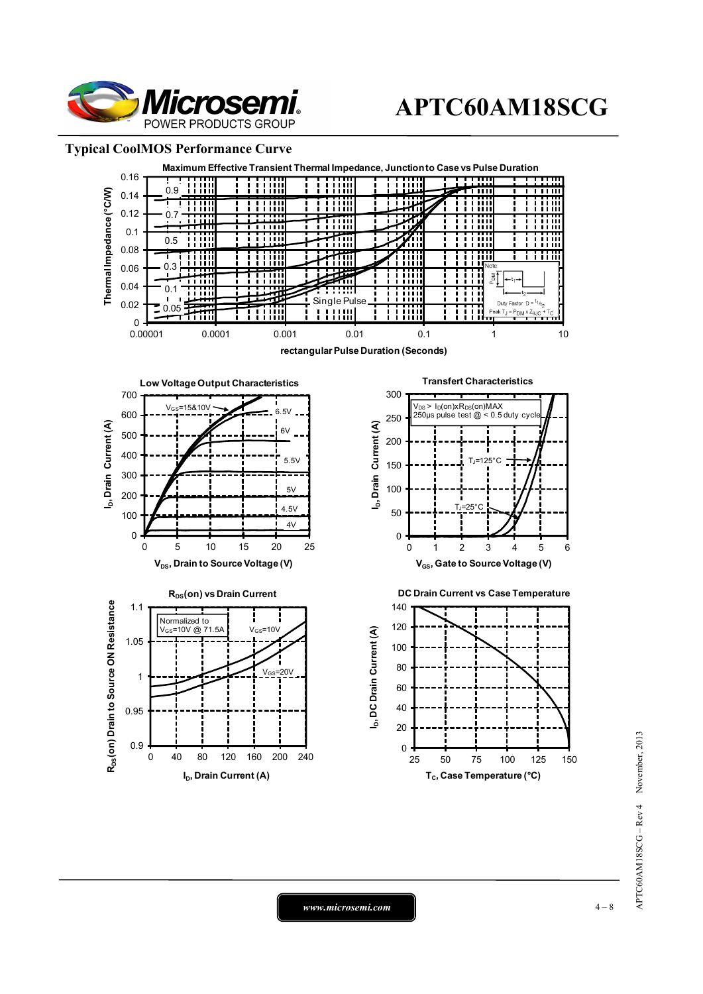

# **Typical CoolMOS Performance Curve**



*www.microsemi.com* 1 – 8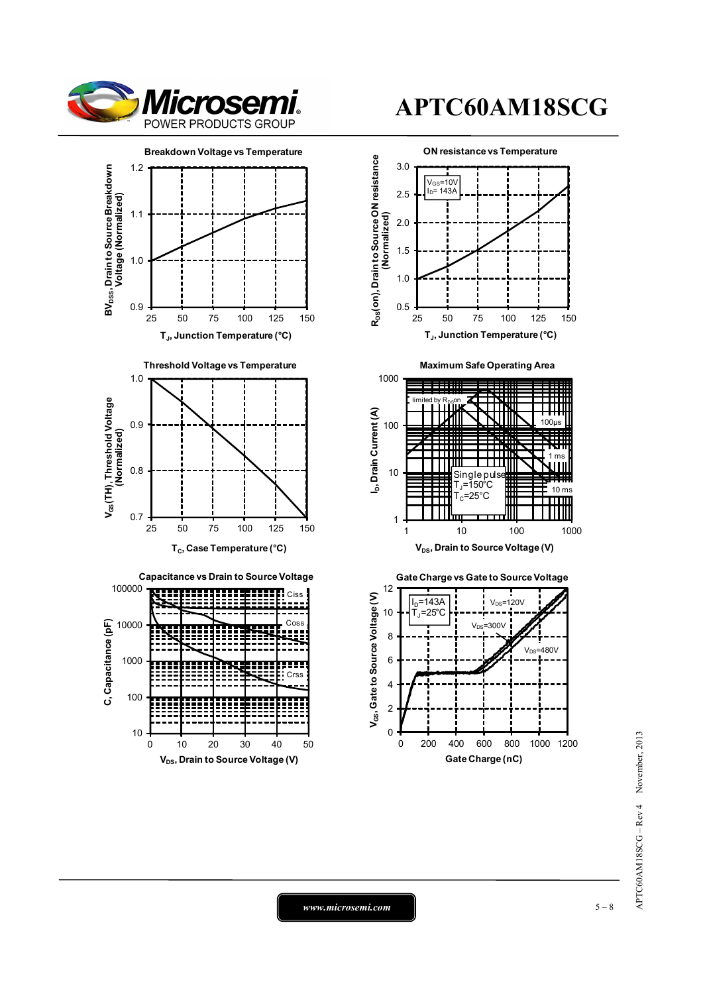



0 10 20 30 40 50

 $V_{DS}$ , Drain to Source Voltage (V)

10

100

# **APTC60AM18SCG**



# APTC60AM18SCG - Rev 4 November, 2013 APTC60AM18SCG – Rev 4 November, 2013

*www.microsemi.com* 15 – 8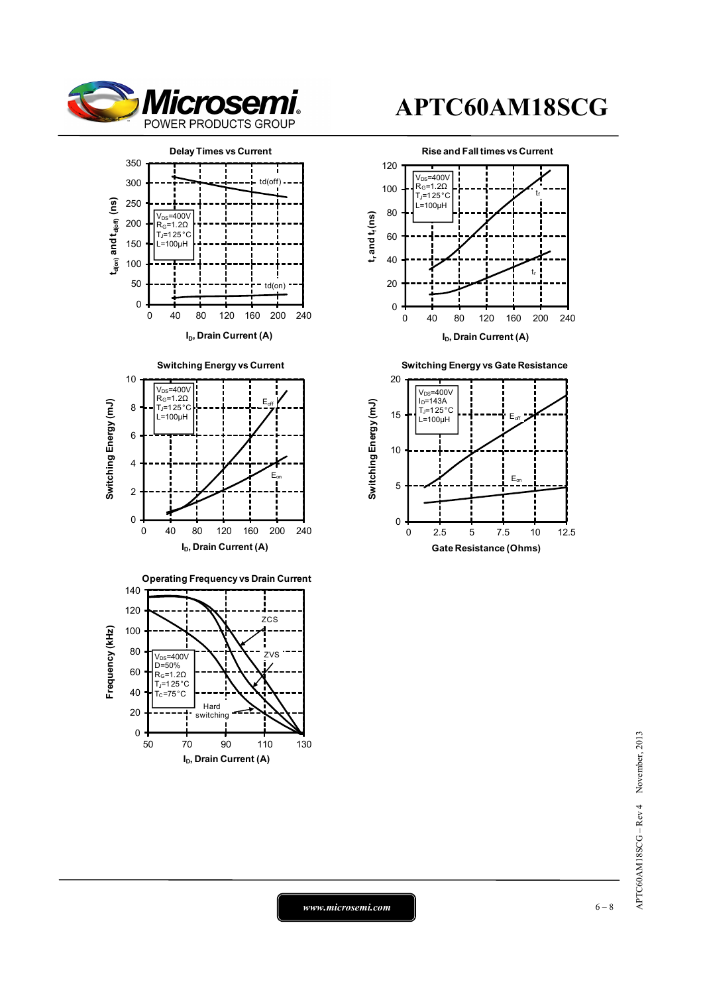











**Switching Energy vs Gate Resistance**



*www.microsemi.com* **6 – 8**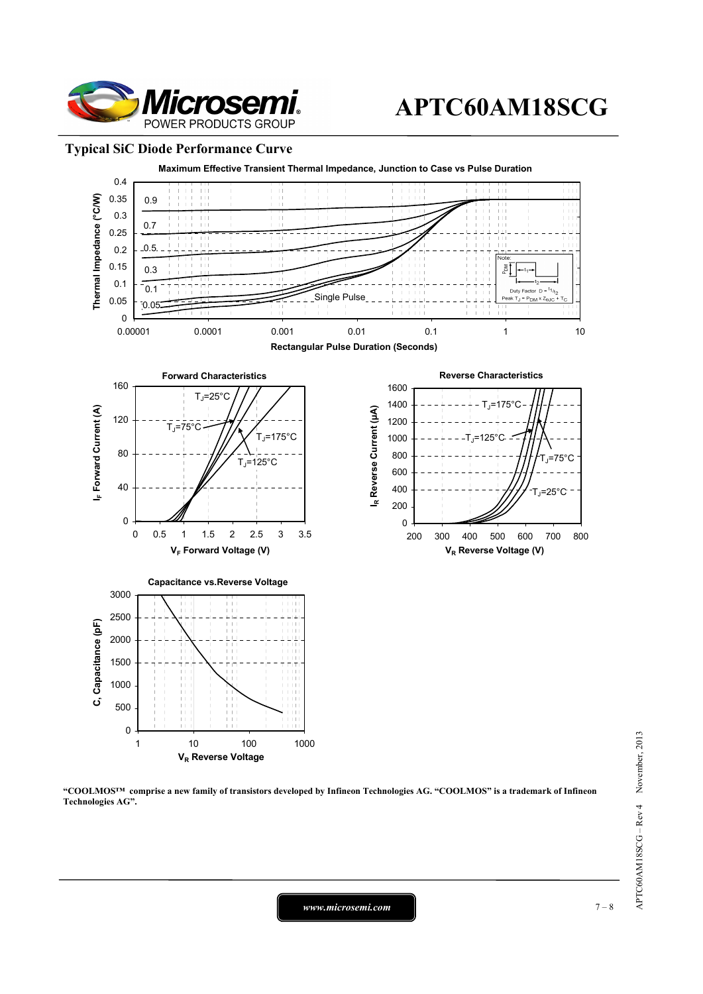

# **Typical SiC Diode Performance Curve**



**"COOLMOS™ comprise a new family of transistors developed by Infineon Technologies AG. "COOLMOS" is a trademark of Infineon Technologies AG".** 

*www.microsemi.com* 7 – 8